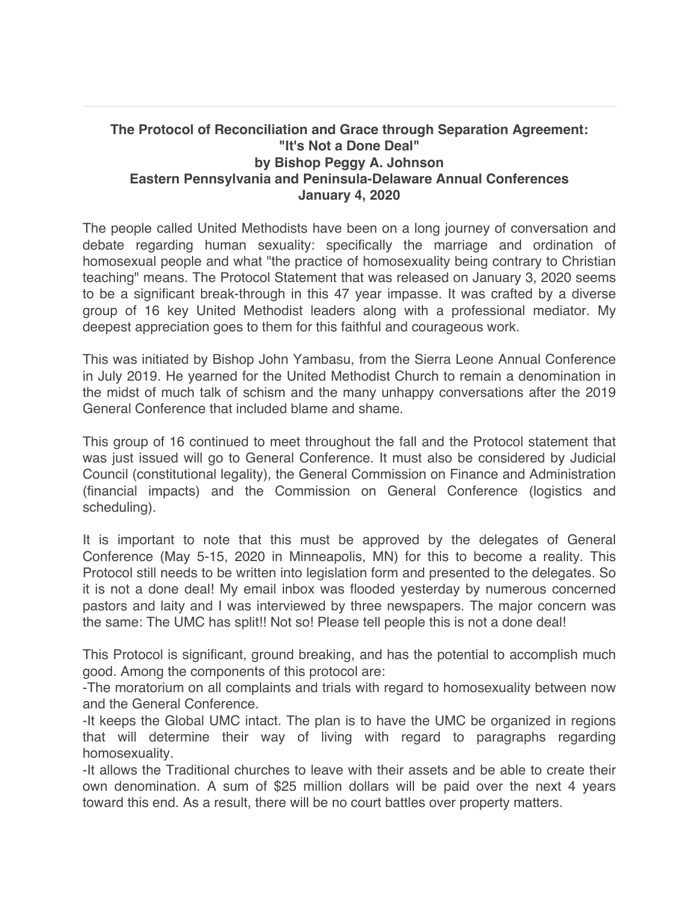## **The Protocol of Reconciliation and Grace through Separation Agreement: "It's Not a Done Deal" by Bishop Peggy A. Johnson Eastern Pennsylvania and Peninsula-Delaware Annual Conferences January 4, 2020**

The people called United Methodists have been on a long journey of conversation and debate regarding human sexuality: specifically the marriage and ordination of homosexual people and what "the practice of homosexuality being contrary to Christian teaching" means. The Protocol Statement that was released on January 3, 2020 seems to be a significant break-through in this 47 year impasse. It was crafted by a diverse group of 16 key United Methodist leaders along with a professional mediator. My deepest appreciation goes to them for this faithful and courageous work.

This was initiated by Bishop John Yambasu, from the Sierra Leone Annual Conference in July 2019. He yearned for the United Methodist Church to remain a denomination in the midst of much talk of schism and the many unhappy conversations after the 2019 General Conference that included blame and shame.

This group of 16 continued to meet throughout the fall and the Protocol statement that was just issued will go to General Conference. It must also be considered by Judicial Council (constitutional legality), the General Commission on Finance and Administration (financial impacts) and the Commission on General Conference (logistics and scheduling).

It is important to note that this must be approved by the delegates of General Conference (May 5-15, 2020 in Minneapolis, MN) for this to become a reality. This Protocol still needs to be written into legislation form and presented to the delegates. So it is not a done deal! My email inbox was flooded yesterday by numerous concerned pastors and laity and I was interviewed by three newspapers. The major concern was the same: The UMC has split!! Not so! Please tell people this is not a done deal!

This Protocol is significant, ground breaking, and has the potential to accomplish much good. Among the components of this protocol are:

-The moratorium on all complaints and trials with regard to homosexuality between now and the General Conference.

-It keeps the Global UMC intact. The plan is to have the UMC be organized in regions that will determine their way of living with regard to paragraphs regarding homosexuality.

-It allows the Traditional churches to leave with their assets and be able to create their own denomination. A sum of \$25 million dollars will be paid over the next 4 years toward this end. As a result, there will be no court battles over property matters.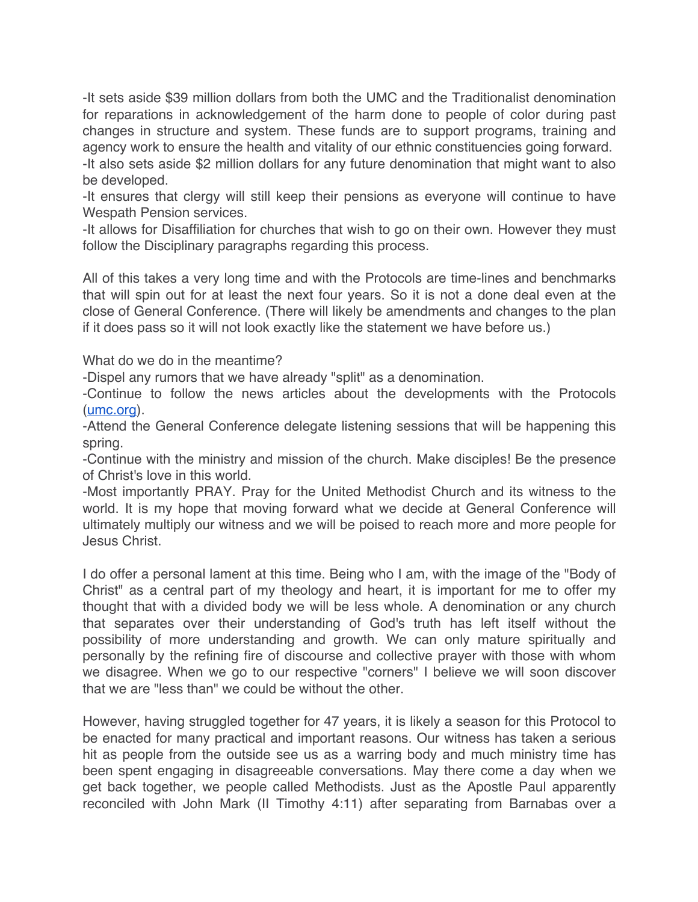-It sets aside \$39 million dollars from both the UMC and the Traditionalist denomination for reparations in acknowledgement of the harm done to people of color during past changes in structure and system. These funds are to support programs, training and agency work to ensure the health and vitality of our ethnic constituencies going forward. -It also sets aside \$2 million dollars for any future denomination that might want to also be developed.

-It ensures that clergy will still keep their pensions as everyone will continue to have Wespath Pension services.

-It allows for Disaffiliation for churches that wish to go on their own. However they must follow the Disciplinary paragraphs regarding this process.

All of this takes a very long time and with the Protocols are time-lines and benchmarks that will spin out for at least the next four years. So it is not a done deal even at the close of General Conference. (There will likely be amendments and changes to the plan if it does pass so it will not look exactly like the statement we have before us.)

What do we do in the meantime?

-Dispel any rumors that we have already "split" as a denomination.

-Continue to follow the news articles about the developments with the Protocols (umc.org).

-Attend the General Conference delegate listening sessions that will be happening this spring.

-Continue with the ministry and mission of the church. Make disciples! Be the presence of Christ's love in this world.

-Most importantly PRAY. Pray for the United Methodist Church and its witness to the world. It is my hope that moving forward what we decide at General Conference will ultimately multiply our witness and we will be poised to reach more and more people for Jesus Christ.

I do offer a personal lament at this time. Being who I am, with the image of the "Body of Christ" as a central part of my theology and heart, it is important for me to offer my thought that with a divided body we will be less whole. A denomination or any church that separates over their understanding of God's truth has left itself without the possibility of more understanding and growth. We can only mature spiritually and personally by the refining fire of discourse and collective prayer with those with whom we disagree. When we go to our respective "corners" I believe we will soon discover that we are "less than" we could be without the other.

However, having struggled together for 47 years, it is likely a season for this Protocol to be enacted for many practical and important reasons. Our witness has taken a serious hit as people from the outside see us as a warring body and much ministry time has been spent engaging in disagreeable conversations. May there come a day when we get back together, we people called Methodists. Just as the Apostle Paul apparently reconciled with John Mark (II Timothy 4:11) after separating from Barnabas over a